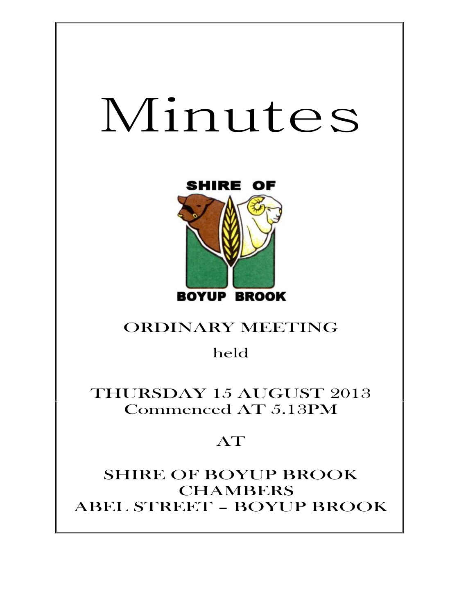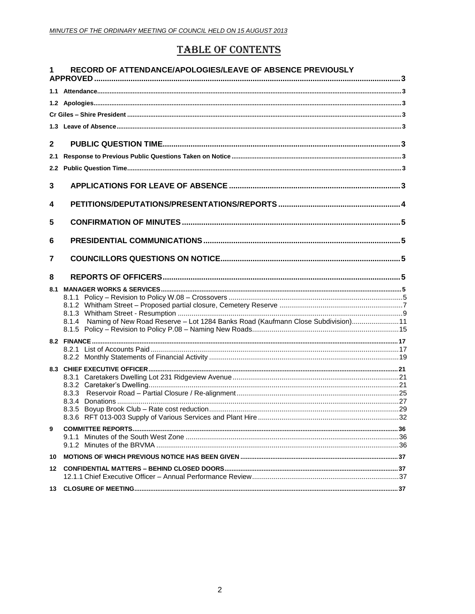# **TABLE OF CONTENTS**

|               | RECORD OF ATTENDANCE/APOLOGIES/LEAVE OF ABSENCE PREVIOUSLY                            |  |
|---------------|---------------------------------------------------------------------------------------|--|
|               |                                                                                       |  |
|               |                                                                                       |  |
|               |                                                                                       |  |
|               |                                                                                       |  |
|               |                                                                                       |  |
| $\mathbf{2}$  |                                                                                       |  |
| 2.1           |                                                                                       |  |
| $2.2^{\circ}$ |                                                                                       |  |
| 3             |                                                                                       |  |
| 4             |                                                                                       |  |
| 5             |                                                                                       |  |
| 6             |                                                                                       |  |
| 7             |                                                                                       |  |
| 8             |                                                                                       |  |
|               |                                                                                       |  |
|               |                                                                                       |  |
|               |                                                                                       |  |
|               | 8.1.4 Naming of New Road Reserve - Lot 1284 Banks Road (Kaufmann Close Subdivision)11 |  |
|               |                                                                                       |  |
|               |                                                                                       |  |
|               |                                                                                       |  |
|               |                                                                                       |  |
|               |                                                                                       |  |
|               |                                                                                       |  |
|               |                                                                                       |  |
|               |                                                                                       |  |
| 9             |                                                                                       |  |
|               |                                                                                       |  |
|               |                                                                                       |  |
| 10            |                                                                                       |  |
|               |                                                                                       |  |
|               |                                                                                       |  |
| 13            |                                                                                       |  |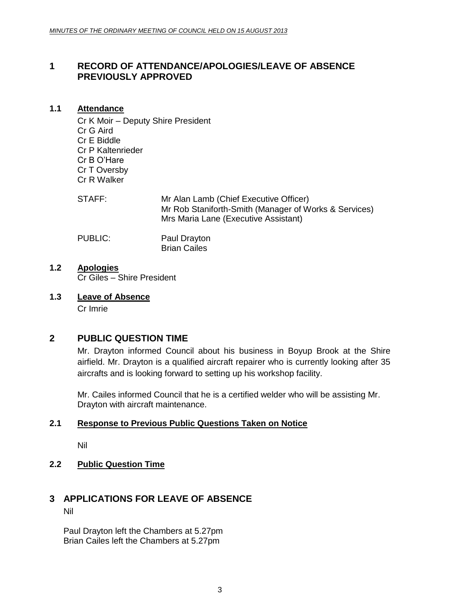# <span id="page-2-0"></span>**1 RECORD OF ATTENDANCE/APOLOGIES/LEAVE OF ABSENCE PREVIOUSLY APPROVED**

#### <span id="page-2-1"></span>**1.1 Attendance**

Cr K Moir – Deputy Shire President Cr G Aird Cr E Biddle Cr P Kaltenrieder Cr B O'Hare Cr T Oversby Cr R Walker

| STAFF: | Mr Alan Lamb (Chief Executive Officer)                |
|--------|-------------------------------------------------------|
|        | Mr Rob Staniforth-Smith (Manager of Works & Services) |
|        | Mrs Maria Lane (Executive Assistant)                  |
|        |                                                       |

PUBLIC: Paul Drayton Brian Cailes

- <span id="page-2-3"></span><span id="page-2-2"></span>**1.2 Apologies** Cr Giles – Shire President
- <span id="page-2-4"></span>**1.3 Leave of Absence** Cr Imrie

# <span id="page-2-5"></span>**2 PUBLIC QUESTION TIME**

Mr. Drayton informed Council about his business in Boyup Brook at the Shire airfield. Mr. Drayton is a qualified aircraft repairer who is currently looking after 35 aircrafts and is looking forward to setting up his workshop facility.

Mr. Cailes informed Council that he is a certified welder who will be assisting Mr. Drayton with aircraft maintenance.

# <span id="page-2-6"></span>**2.1 Response to Previous Public Questions Taken on Notice**

Nil

# <span id="page-2-7"></span>**2.2 Public Question Time**

# <span id="page-2-8"></span>**3 APPLICATIONS FOR LEAVE OF ABSENCE**

Nil

Paul Drayton left the Chambers at 5.27pm Brian Cailes left the Chambers at 5.27pm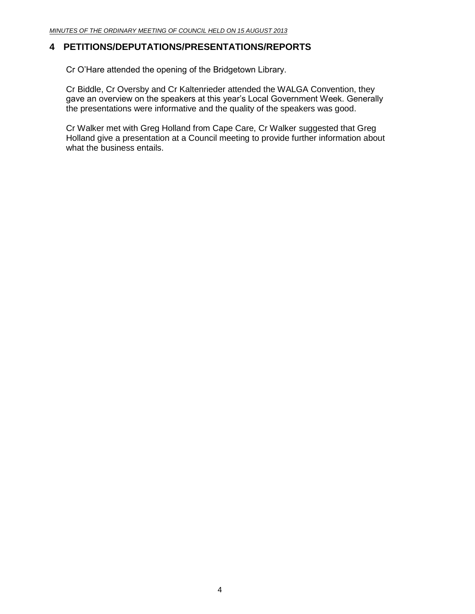# <span id="page-3-0"></span>**4 PETITIONS/DEPUTATIONS/PRESENTATIONS/REPORTS**

Cr O'Hare attended the opening of the Bridgetown Library.

Cr Biddle, Cr Oversby and Cr Kaltenrieder attended the WALGA Convention, they gave an overview on the speakers at this year's Local Government Week. Generally the presentations were informative and the quality of the speakers was good.

Cr Walker met with Greg Holland from Cape Care, Cr Walker suggested that Greg Holland give a presentation at a Council meeting to provide further information about what the business entails.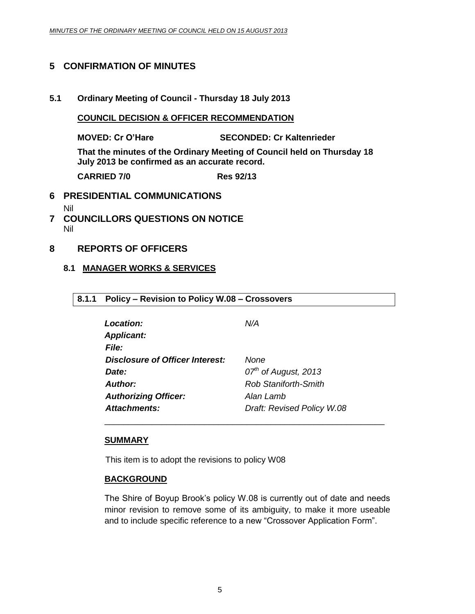# <span id="page-4-0"></span>**5 CONFIRMATION OF MINUTES**

**5.1 Ordinary Meeting of Council - Thursday 18 July 2013**

#### **COUNCIL DECISION & OFFICER RECOMMENDATION**

**MOVED: Cr O'Hare SECONDED: Cr Kaltenrieder**

**That the minutes of the Ordinary Meeting of Council held on Thursday 18 July 2013 be confirmed as an accurate record.**

**CARRIED 7/0 Res 92/13**

#### <span id="page-4-1"></span>**6 PRESIDENTIAL COMMUNICATIONS**

- Nil
- <span id="page-4-2"></span>**7 COUNCILLORS QUESTIONS ON NOTICE** Nil
- <span id="page-4-4"></span><span id="page-4-3"></span>**8 REPORTS OF OFFICERS**

#### <span id="page-4-5"></span>**8.1 MANAGER WORKS & SERVICES**

# **8.1.1 Policy – Revision to Policy W.08 – Crossovers**

| <b>Location:</b>                       | N/A                        |
|----------------------------------------|----------------------------|
| <b>Applicant:</b>                      |                            |
| <b>File:</b>                           |                            |
| <b>Disclosure of Officer Interest:</b> | None                       |
| Date:                                  | $07th$ of August, 2013     |
| <b>Author:</b>                         | Rob Staniforth-Smith       |
| <b>Authorizing Officer:</b>            | Alan Lamb                  |
| <b>Attachments:</b>                    | Draft: Revised Policy W.08 |

#### **SUMMARY**

This item is to adopt the revisions to policy W08

#### **BACKGROUND**

The Shire of Boyup Brook's policy W.08 is currently out of date and needs minor revision to remove some of its ambiguity, to make it more useable and to include specific reference to a new "Crossover Application Form".

\_\_\_\_\_\_\_\_\_\_\_\_\_\_\_\_\_\_\_\_\_\_\_\_\_\_\_\_\_\_\_\_\_\_\_\_\_\_\_\_\_\_\_\_\_\_\_\_\_\_\_\_\_\_\_\_\_\_\_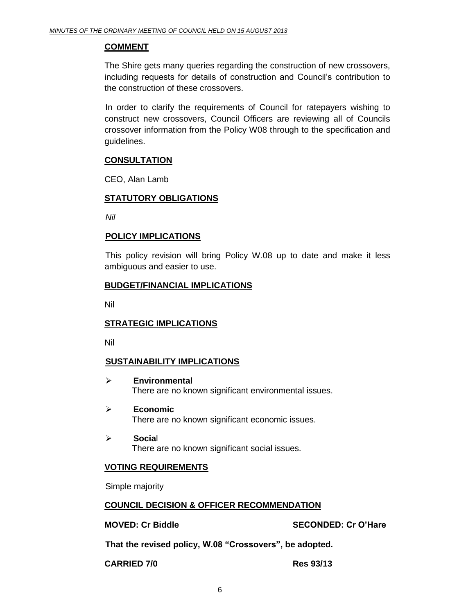## **COMMENT**

The Shire gets many queries regarding the construction of new crossovers, including requests for details of construction and Council's contribution to the construction of these crossovers.

In order to clarify the requirements of Council for ratepayers wishing to construct new crossovers, Council Officers are reviewing all of Councils crossover information from the Policy W08 through to the specification and guidelines.

# **CONSULTATION**

CEO, Alan Lamb

# **STATUTORY OBLIGATIONS**

*Nil*

# **POLICY IMPLICATIONS**

This policy revision will bring Policy W.08 up to date and make it less ambiguous and easier to use.

## **BUDGET/FINANCIAL IMPLICATIONS**

Nil

# **STRATEGIC IMPLICATIONS**

Nil

# **SUSTAINABILITY IMPLICATIONS**

- **Environmental** There are no known significant environmental issues.
- **Economic** There are no known significant economic issues.
- **Socia**l There are no known significant social issues.

# **VOTING REQUIREMENTS**

Simple majority

#### **COUNCIL DECISION & OFFICER RECOMMENDATION**

**MOVED: Cr Biddle SECONDED: Cr O'Hare**

**That the revised policy, W.08 "Crossovers", be adopted.**

**CARRIED 7/0 Res 93/13**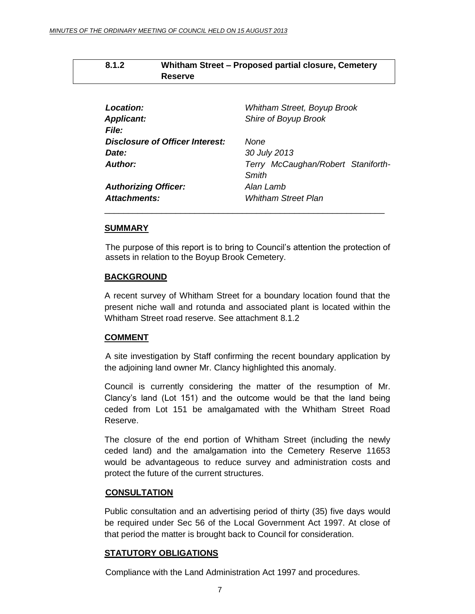<span id="page-6-0"></span>

| 8.1.2 | Whitham Street - Proposed partial closure, Cemetery |  |
|-------|-----------------------------------------------------|--|
|       | <b>Reserve</b>                                      |  |

| <b>Location:</b>                | Whitham Street, Boyup Brook        |
|---------------------------------|------------------------------------|
| <b>Applicant:</b>               | Shire of Boyup Brook               |
| <b>File:</b>                    |                                    |
| Disclosure of Officer Interest: | None                               |
| Date:                           | 30 July 2013                       |
| Author:                         | Terry McCaughan/Robert Staniforth- |
|                                 | Smith                              |
| <b>Authorizing Officer:</b>     | Alan Lamb                          |
| Attachments:                    | <b>Whitham Street Plan</b>         |
|                                 |                                    |

#### **SUMMARY**

The purpose of this report is to bring to Council's attention the protection of assets in relation to the Boyup Brook Cemetery.

#### **BACKGROUND**

A recent survey of Whitham Street for a boundary location found that the present niche wall and rotunda and associated plant is located within the Whitham Street road reserve. See attachment 8.1.2

#### **COMMENT**

A site investigation by Staff confirming the recent boundary application by the adjoining land owner Mr. Clancy highlighted this anomaly.

Council is currently considering the matter of the resumption of Mr. Clancy's land (Lot 151) and the outcome would be that the land being ceded from Lot 151 be amalgamated with the Whitham Street Road Reserve.

The closure of the end portion of Whitham Street (including the newly ceded land) and the amalgamation into the Cemetery Reserve 11653 would be advantageous to reduce survey and administration costs and protect the future of the current structures.

#### **CONSULTATION**

Public consultation and an advertising period of thirty (35) five days would be required under Sec 56 of the Local Government Act 1997. At close of that period the matter is brought back to Council for consideration.

#### **STATUTORY OBLIGATIONS**

Compliance with the Land Administration Act 1997 and procedures.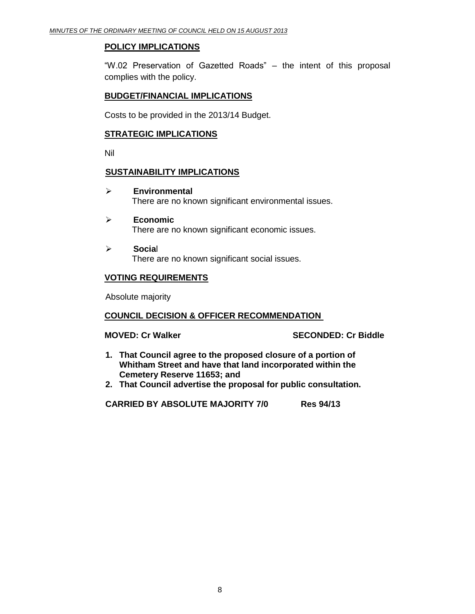## **POLICY IMPLICATIONS**

"W.02 Preservation of Gazetted Roads" – the intent of this proposal complies with the policy.

## **BUDGET/FINANCIAL IMPLICATIONS**

Costs to be provided in the 2013/14 Budget.

## **STRATEGIC IMPLICATIONS**

Nil

## **SUSTAINABILITY IMPLICATIONS**

- **Environmental** There are no known significant environmental issues.
- **Economic** There are no known significant economic issues.
- **Socia**l There are no known significant social issues.

# **VOTING REQUIREMENTS**

Absolute majority

#### **COUNCIL DECISION & OFFICER RECOMMENDATION**

**MOVED: Cr Walker SECONDED: Cr Biddle**

- **1. That Council agree to the proposed closure of a portion of Whitham Street and have that land incorporated within the Cemetery Reserve 11653; and**
- **2. That Council advertise the proposal for public consultation.**

**CARRIED BY ABSOLUTE MAJORITY 7/0 Res 94/13**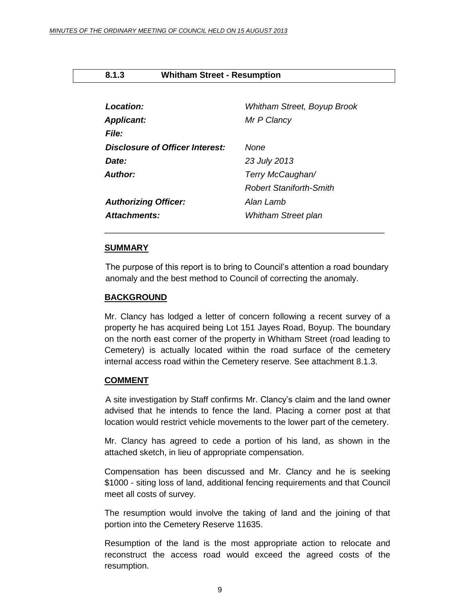## <span id="page-8-0"></span>**8.1.3 Whitham Street - Resumption**

| Location:                       | Whitham Street, Boyup Brook    |
|---------------------------------|--------------------------------|
| <b>Applicant:</b>               | Mr P Clancy                    |
| File:                           |                                |
| Disclosure of Officer Interest: | None                           |
| Date:                           | 23 July 2013                   |
| Author:                         | Terry McCaughan/               |
|                                 | <b>Robert Staniforth-Smith</b> |
| <b>Authorizing Officer:</b>     | Alan Lamb                      |
| <b>Attachments:</b>             | <b>Whitham Street plan</b>     |

#### **SUMMARY**

The purpose of this report is to bring to Council's attention a road boundary anomaly and the best method to Council of correcting the anomaly.

\_\_\_\_\_\_\_\_\_\_\_\_\_\_\_\_\_\_\_\_\_\_\_\_\_\_\_\_\_\_\_\_\_\_\_\_\_\_\_\_\_\_\_\_\_\_\_\_\_\_\_\_\_\_\_\_\_\_\_

#### **BACKGROUND**

Mr. Clancy has lodged a letter of concern following a recent survey of a property he has acquired being Lot 151 Jayes Road, Boyup. The boundary on the north east corner of the property in Whitham Street (road leading to Cemetery) is actually located within the road surface of the cemetery internal access road within the Cemetery reserve. See attachment 8.1.3.

#### **COMMENT**

A site investigation by Staff confirms Mr. Clancy's claim and the land owner advised that he intends to fence the land. Placing a corner post at that location would restrict vehicle movements to the lower part of the cemetery.

Mr. Clancy has agreed to cede a portion of his land, as shown in the attached sketch, in lieu of appropriate compensation.

Compensation has been discussed and Mr. Clancy and he is seeking \$1000 - siting loss of land, additional fencing requirements and that Council meet all costs of survey.

The resumption would involve the taking of land and the joining of that portion into the Cemetery Reserve 11635.

Resumption of the land is the most appropriate action to relocate and reconstruct the access road would exceed the agreed costs of the resumption.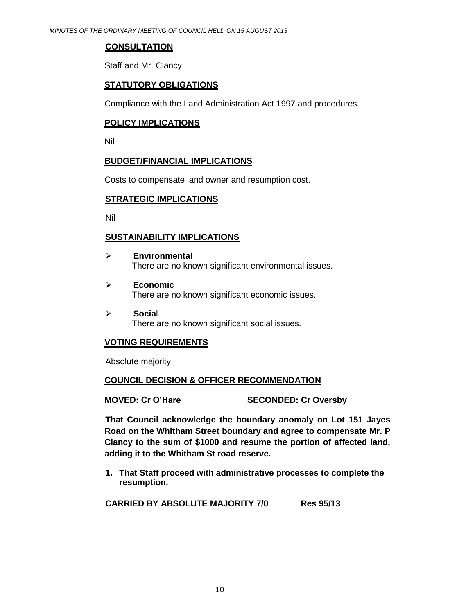## **CONSULTATION**

Staff and Mr. Clancy

# **STATUTORY OBLIGATIONS**

Compliance with the Land Administration Act 1997 and procedures.

## **POLICY IMPLICATIONS**

Nil

#### **BUDGET/FINANCIAL IMPLICATIONS**

Costs to compensate land owner and resumption cost.

#### **STRATEGIC IMPLICATIONS**

Nil

## **SUSTAINABILITY IMPLICATIONS**

- **Environmental** There are no known significant environmental issues.
- **Economic** There are no known significant economic issues.
- **Socia**l There are no known significant social issues.

# **VOTING REQUIREMENTS**

Absolute majority

# **COUNCIL DECISION & OFFICER RECOMMENDATION**

**MOVED: Cr O'Hare SECONDED: Cr Oversby**

**That Council acknowledge the boundary anomaly on Lot 151 Jayes Road on the Whitham Street boundary and agree to compensate Mr. P Clancy to the sum of \$1000 and resume the portion of affected land, adding it to the Whitham St road reserve.**

**1. That Staff proceed with administrative processes to complete the resumption.** 

**CARRIED BY ABSOLUTE MAJORITY 7/0 Res 95/13**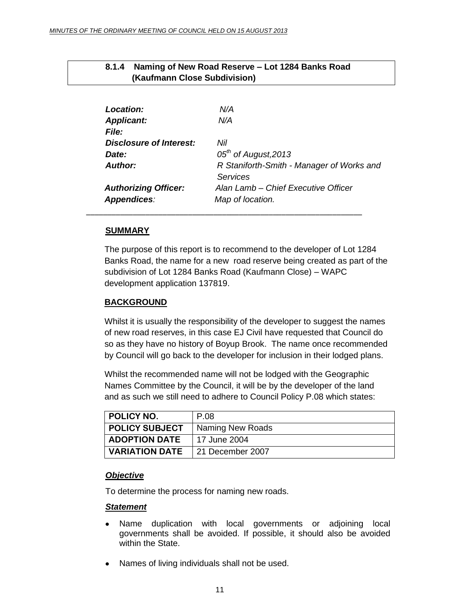| 1<br>(Kaufmann Close Subdivision) |                                           |
|-----------------------------------|-------------------------------------------|
|                                   |                                           |
| Location:                         | N/A                                       |
| <b>Applicant:</b>                 | N/A                                       |
| <b>File:</b>                      |                                           |
| Disclosure of Interest:           | Nil                                       |
| Date:                             | $05th$ of August, 2013                    |
| <b>Author:</b>                    | R Staniforth-Smith - Manager of Works and |
|                                   | Services                                  |
| <b>Authorizing Officer:</b>       | Alan Lamb – Chief Executive Officer       |
| <b>Appendices:</b>                | Map of location.                          |

\_\_\_\_\_\_\_\_\_\_\_\_\_\_\_\_\_\_\_\_\_\_\_\_\_\_\_\_\_\_\_\_\_\_\_\_\_\_\_\_\_\_\_\_\_\_\_\_\_\_\_\_\_\_\_\_\_\_\_\_\_\_\_\_\_

<span id="page-10-0"></span>**8.1.4 Naming of New Road Reserve – Lot 1284 Banks Road** 

## **SUMMARY**

The purpose of this report is to recommend to the developer of Lot 1284 Banks Road, the name for a new road reserve being created as part of the subdivision of Lot 1284 Banks Road (Kaufmann Close) – WAPC development application 137819.

## **BACKGROUND**

Whilst it is usually the responsibility of the developer to suggest the names of new road reserves, in this case EJ Civil have requested that Council do so as they have no history of Boyup Brook. The name once recommended by Council will go back to the developer for inclusion in their lodged plans.

Whilst the recommended name will not be lodged with the Geographic Names Committee by the Council, it will be by the developer of the land and as such we still need to adhere to Council Policy P.08 which states:

| <b>POLICY NO.</b>     | P.08             |
|-----------------------|------------------|
| <b>POLICY SUBJECT</b> | Naming New Roads |
| <b>ADOPTION DATE</b>  | 17 June 2004     |
| <b>VARIATION DATE</b> | 21 December 2007 |

#### *Objective*

To determine the process for naming new roads.

#### *Statement*

- Name duplication with local governments or adjoining local governments shall be avoided. If possible, it should also be avoided within the State.
- Names of living individuals shall not be used.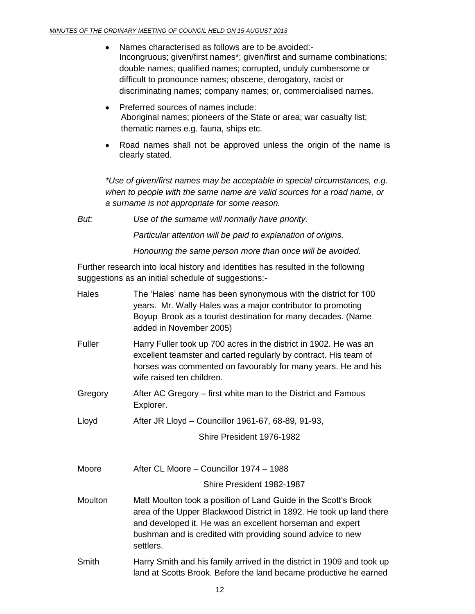- Names characterised as follows are to be avoided:-  $\bullet$ Incongruous; given/first names\*; given/first and surname combinations; double names; qualified names; corrupted, unduly cumbersome or difficult to pronounce names; obscene, derogatory, racist or discriminating names; company names; or, commercialised names.
- Preferred sources of names include: Aboriginal names; pioneers of the State or area; war casualty list; thematic names e.g. fauna, ships etc.
- Road names shall not be approved unless the origin of the name is clearly stated.

*\*Use of given/first names may be acceptable in special circumstances, e.g. when to people with the same name are valid sources for a road name, or a surname is not appropriate for some reason.*

*But: Use of the surname will normally have priority.*

*Particular attention will be paid to explanation of origins.*

*Honouring the same person more than once will be avoided.*

Further research into local history and identities has resulted in the following suggestions as an initial schedule of suggestions:-

| Hales   | The 'Hales' name has been synonymous with the district for 100<br>years. Mr. Wally Hales was a major contributor to promoting<br>Boyup Brook as a tourist destination for many decades. (Name<br>added in November 2005)                                                       |  |
|---------|--------------------------------------------------------------------------------------------------------------------------------------------------------------------------------------------------------------------------------------------------------------------------------|--|
| Fuller  | Harry Fuller took up 700 acres in the district in 1902. He was an<br>excellent teamster and carted regularly by contract. His team of<br>horses was commented on favourably for many years. He and his<br>wife raised ten children.                                            |  |
| Gregory | After AC Gregory – first white man to the District and Famous<br>Explorer.                                                                                                                                                                                                     |  |
| Lloyd   | After JR Lloyd - Councillor 1961-67, 68-89, 91-93,                                                                                                                                                                                                                             |  |
|         | Shire President 1976-1982                                                                                                                                                                                                                                                      |  |
| Moore   | After CL Moore - Councillor 1974 - 1988                                                                                                                                                                                                                                        |  |
|         | Shire President 1982-1987                                                                                                                                                                                                                                                      |  |
| Moulton | Matt Moulton took a position of Land Guide in the Scott's Brook<br>area of the Upper Blackwood District in 1892. He took up land there<br>and developed it. He was an excellent horseman and expert<br>bushman and is credited with providing sound advice to new<br>settlers. |  |
| Smith   | Harry Smith and his family arrived in the district in 1909 and took up<br>land at Scotts Brook. Before the land became productive he earned                                                                                                                                    |  |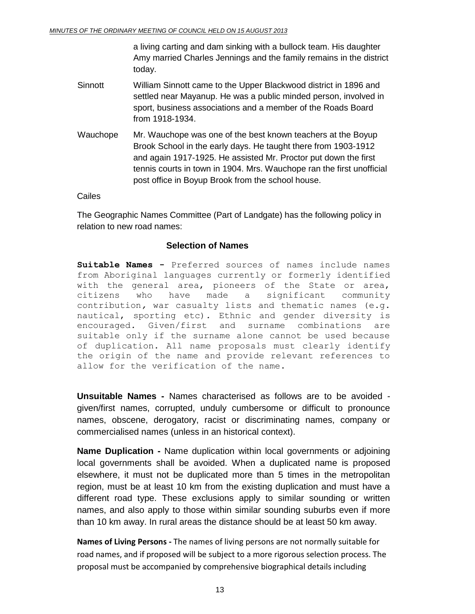a living carting and dam sinking with a bullock team. His daughter Amy married Charles Jennings and the family remains in the district today.

- Sinnott William Sinnott came to the Upper Blackwood district in 1896 and settled near Mayanup. He was a public minded person, involved in sport, business associations and a member of the Roads Board from 1918-1934.
- Wauchope Mr. Wauchope was one of the best known teachers at the Boyup Brook School in the early days. He taught there from 1903-1912 and again 1917-1925. He assisted Mr. Proctor put down the first tennis courts in town in 1904. Mrs. Wauchope ran the first unofficial post office in Boyup Brook from the school house.

Cailes

The Geographic Names Committee (Part of Landgate) has the following policy in relation to new road names:

## **Selection of Names**

**Suitable Names -** Preferred sources of names include names from Aboriginal languages currently or formerly identified with the general area, pioneers of the State or area, citizens who have made a significant community contribution*,* war casualty lists and thematic names (e.g. nautical, sporting etc)*.* Ethnic and gender diversity is encouraged*.* Given/first and surname combinations are suitable only if the surname alone cannot be used because of duplication. All name proposals must clearly identify the origin of the name and provide relevant references to allow for the verification of the name.

**Unsuitable Names -** Names characterised as follows are to be avoided given/first names, corrupted, unduly cumbersome or difficult to pronounce names, obscene, derogatory, racist or discriminating names, company or commercialised names (unless in an historical context).

**Name Duplication -** Name duplication within local governments or adjoining local governments shall be avoided. When a duplicated name is proposed elsewhere, it must not be duplicated more than 5 times in the metropolitan region, must be at least 10 km from the existing duplication and must have a different road type. These exclusions apply to similar sounding or written names, and also apply to those within similar sounding suburbs even if more than 10 km away. In rural areas the distance should be at least 50 km away.

**Names of Living Persons -** The names of living persons are not normally suitable for road names, and if proposed will be subject to a more rigorous selection process. The proposal must be accompanied by comprehensive biographical details including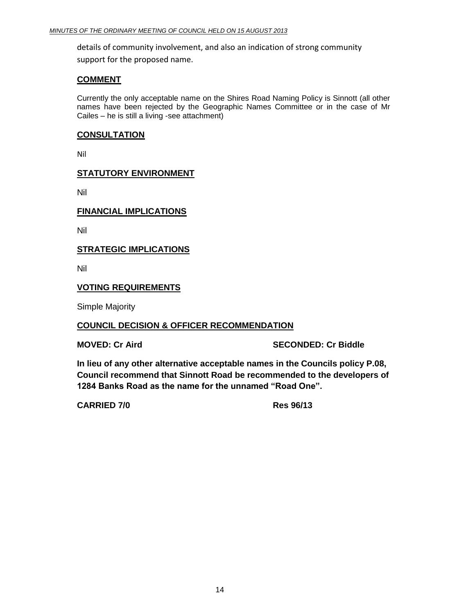details of community involvement, and also an indication of strong community support for the proposed name.

#### **COMMENT**

Currently the only acceptable name on the Shires Road Naming Policy is Sinnott (all other names have been rejected by the Geographic Names Committee or in the case of Mr Cailes – he is still a living -see attachment)

#### **CONSULTATION**

Nil

# **STATUTORY ENVIRONMENT**

Nil

## **FINANCIAL IMPLICATIONS**

Nil

## **STRATEGIC IMPLICATIONS**

Nil

## **VOTING REQUIREMENTS**

Simple Majority

#### **COUNCIL DECISION & OFFICER RECOMMENDATION**

**MOVED: Cr Aird SECONDED: Cr Biddle**

**In lieu of any other alternative acceptable names in the Councils policy P.08, Council recommend that Sinnott Road be recommended to the developers of 1284 Banks Road as the name for the unnamed "Road One".**

**CARRIED 7/0 Res 96/13**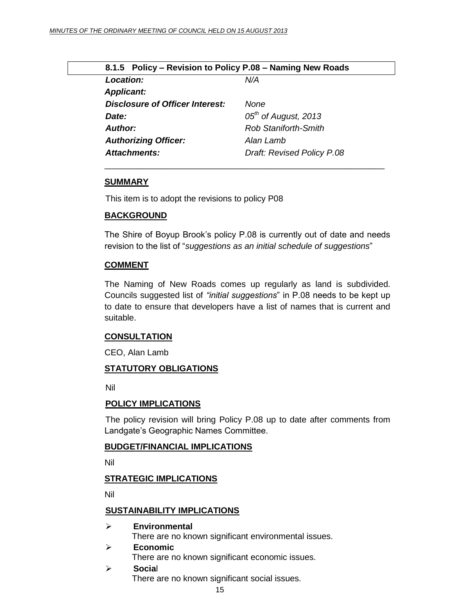<span id="page-14-0"></span>

| 8.1.5 Policy - Revision to Policy P.08 - Naming New Roads |  |  |
|-----------------------------------------------------------|--|--|
| N/A                                                       |  |  |
|                                                           |  |  |
| None                                                      |  |  |
| $05th$ of August, 2013                                    |  |  |
| Rob Staniforth-Smith                                      |  |  |
| Alan Lamb                                                 |  |  |
| Draft: Revised Policy P.08                                |  |  |
|                                                           |  |  |

#### **SUMMARY**

This item is to adopt the revisions to policy P08

#### **BACKGROUND**

The Shire of Boyup Brook's policy P.08 is currently out of date and needs revision to the list of "*suggestions as an initial schedule of suggestions*"

\_\_\_\_\_\_\_\_\_\_\_\_\_\_\_\_\_\_\_\_\_\_\_\_\_\_\_\_\_\_\_\_\_\_\_\_\_\_\_\_\_\_\_\_\_\_\_\_\_\_\_\_\_\_\_\_\_\_\_

#### **COMMENT**

The Naming of New Roads comes up regularly as land is subdivided. Councils suggested list of *"initial suggestions*" in P.08 needs to be kept up to date to ensure that developers have a list of names that is current and suitable.

#### **CONSULTATION**

CEO, Alan Lamb

#### **STATUTORY OBLIGATIONS**

Nil

#### **POLICY IMPLICATIONS**

The policy revision will bring Policy P.08 up to date after comments from Landgate's Geographic Names Committee.

#### **BUDGET/FINANCIAL IMPLICATIONS**

Nil

#### **STRATEGIC IMPLICATIONS**

Nil

#### **SUSTAINABILITY IMPLICATIONS**

- **Environmental** There are no known significant environmental issues. **Economic**
	- There are no known significant economic issues.
- **Socia**l

There are no known significant social issues.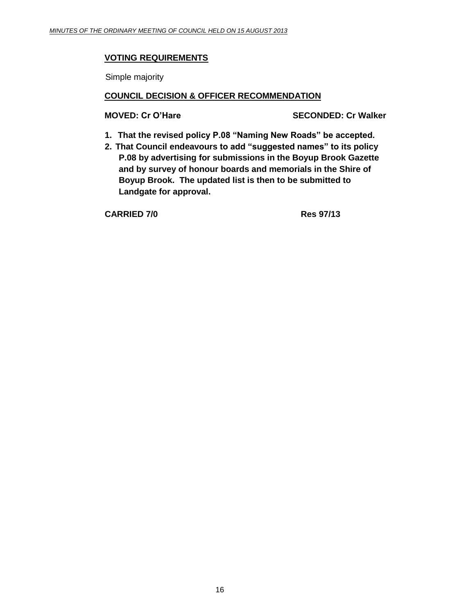# **VOTING REQUIREMENTS**

Simple majority

## **COUNCIL DECISION & OFFICER RECOMMENDATION**

**MOVED: Cr O'Hare SECONDED: Cr Walker**

- **1. That the revised policy P.08 "Naming New Roads" be accepted.**
- **2. That Council endeavours to add "suggested names" to its policy P.08 by advertising for submissions in the Boyup Brook Gazette and by survey of honour boards and memorials in the Shire of Boyup Brook. The updated list is then to be submitted to Landgate for approval.**

**CARRIED 7/0 Res 97/13**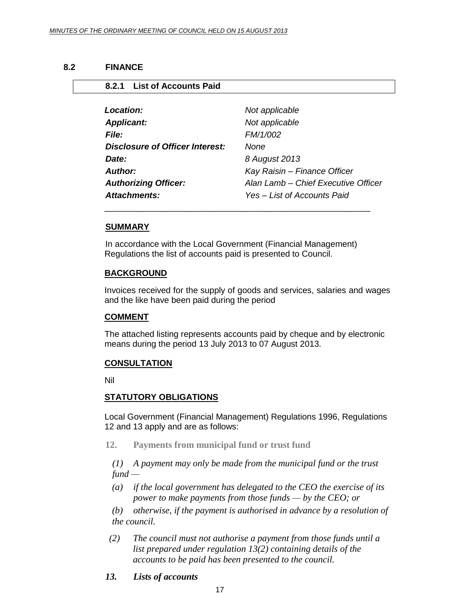<span id="page-16-1"></span><span id="page-16-0"></span>**8.2.1 List of Accounts Paid**

#### **8.2 FINANCE**

| Location:                              | Not applicable                      |
|----------------------------------------|-------------------------------------|
| <b>Applicant:</b>                      | Not applicable                      |
| <b>File:</b>                           | FM/1/002                            |
| <b>Disclosure of Officer Interest:</b> | None                                |
| Date:                                  | 8 August 2013                       |
| Author:                                | Kay Raisin - Finance Officer        |
| <b>Authorizing Officer:</b>            | Alan Lamb - Chief Executive Officer |
| Attachments:                           | Yes – List of Accounts Paid         |

#### **SUMMARY**

In accordance with the Local Government (Financial Management) Regulations the list of accounts paid is presented to Council.

\_\_\_\_\_\_\_\_\_\_\_\_\_\_\_\_\_\_\_\_\_\_\_\_\_\_\_\_\_\_\_\_\_\_\_\_\_\_\_\_\_\_\_\_\_\_\_\_\_\_\_\_\_\_\_\_

#### **BACKGROUND**

Invoices received for the supply of goods and services, salaries and wages and the like have been paid during the period

#### **COMMENT**

The attached listing represents accounts paid by cheque and by electronic means during the period 13 July 2013 to 07 August 2013.

#### **CONSULTATION**

Nil

#### **STATUTORY OBLIGATIONS**

Local Government (Financial Management) Regulations 1996, Regulations 12 and 13 apply and are as follows:

**12. Payments from municipal fund or trust fund**

*(1) A payment may only be made from the municipal fund or the trust fund —*

*(a) if the local government has delegated to the CEO the exercise of its power to make payments from those funds — by the CEO; or*

*(b) otherwise, if the payment is authorised in advance by a resolution of the council.*

- *(2) The council must not authorise a payment from those funds until a list prepared under regulation 13(2) containing details of the accounts to be paid has been presented to the council.*
- *13. Lists of accounts*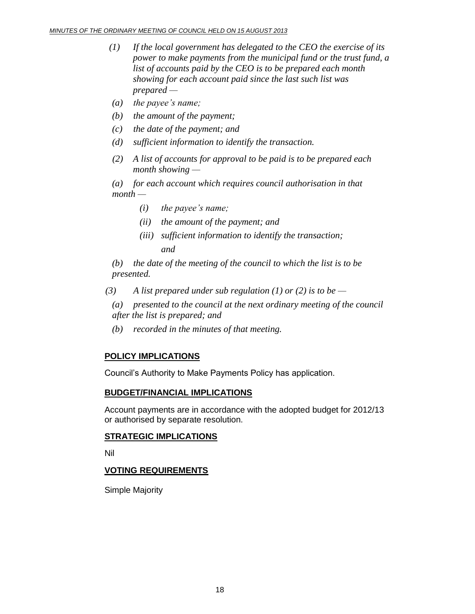- *(1) If the local government has delegated to the CEO the exercise of its power to make payments from the municipal fund or the trust fund, a list of accounts paid by the CEO is to be prepared each month showing for each account paid since the last such list was prepared —*
- *(a) the payee's name;*
- *(b) the amount of the payment;*
- *(c) the date of the payment; and*
- *(d) sufficient information to identify the transaction.*
- *(2) A list of accounts for approval to be paid is to be prepared each month showing —*

*(a) for each account which requires council authorisation in that month —*

- *(i) the payee's name;*
- *(ii) the amount of the payment; and*
- *(iii) sufficient information to identify the transaction; and*

*(b) the date of the meeting of the council to which the list is to be presented.*

- *(3) A list prepared under sub regulation (1) or (2) is to be —*
	- *(a) presented to the council at the next ordinary meeting of the council after the list is prepared; and*
	- *(b) recorded in the minutes of that meeting.*

# **POLICY IMPLICATIONS**

Council's Authority to Make Payments Policy has application.

# **BUDGET/FINANCIAL IMPLICATIONS**

Account payments are in accordance with the adopted budget for 2012/13 or authorised by separate resolution.

# **STRATEGIC IMPLICATIONS**

Nil

# **VOTING REQUIREMENTS**

Simple Majority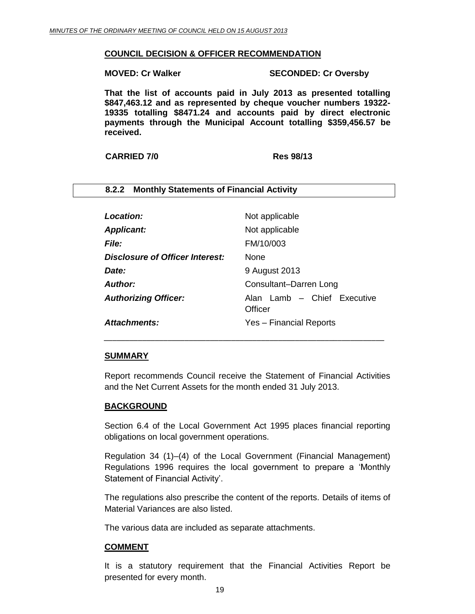#### **COUNCIL DECISION & OFFICER RECOMMENDATION**

<span id="page-18-0"></span>**8.2.2 Monthly Statements of Financial Activity** 

**MOVED: Cr Walker SECONDED: Cr Oversby**

**That the list of accounts paid in July 2013 as presented totalling \$847,463.12 and as represented by cheque voucher numbers 19322- 19335 totalling \$8471.24 and accounts paid by direct electronic payments through the Municipal Account totalling \$359,456.57 be received.**

**CARRIED 7/0 Res 98/13**

| <b>Location:</b>                | Not applicable                         |
|---------------------------------|----------------------------------------|
| <b>Applicant:</b>               | Not applicable                         |
| <b>File:</b>                    | FM/10/003                              |
| Disclosure of Officer Interest: | <b>None</b>                            |
| Date:                           | 9 August 2013                          |
| <b>Author:</b>                  | Consultant-Darren Long                 |
| <b>Authorizing Officer:</b>     | Alan Lamb - Chief Executive<br>Officer |
| Attachments:                    | Yes - Financial Reports                |

#### **SUMMARY**

Report recommends Council receive the Statement of Financial Activities and the Net Current Assets for the month ended 31 July 2013.

*\_\_\_\_\_\_\_\_\_\_\_\_\_\_\_\_\_\_\_\_\_\_\_\_\_\_\_\_\_\_\_\_\_\_\_\_\_\_\_\_\_\_\_\_\_\_\_\_\_\_\_\_\_\_\_\_\_\_\_\_\_\_\_\_\_\_*

#### **BACKGROUND**

Section 6.4 of the Local Government Act 1995 places financial reporting obligations on local government operations.

Regulation 34 (1)–(4) of the Local Government (Financial Management) Regulations 1996 requires the local government to prepare a 'Monthly Statement of Financial Activity'.

The regulations also prescribe the content of the reports. Details of items of Material Variances are also listed.

The various data are included as separate attachments.

#### **COMMENT**

It is a statutory requirement that the Financial Activities Report be presented for every month.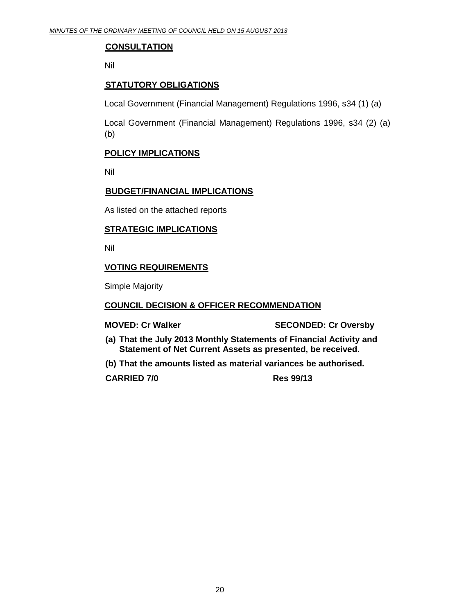# **CONSULTATION**

Nil

# **STATUTORY OBLIGATIONS**

Local Government (Financial Management) Regulations 1996, s34 (1) (a)

Local Government (Financial Management) Regulations 1996, s34 (2) (a) (b)

# **POLICY IMPLICATIONS**

Nil

## **BUDGET/FINANCIAL IMPLICATIONS**

As listed on the attached reports

#### **STRATEGIC IMPLICATIONS**

Nil

# **VOTING REQUIREMENTS**

Simple Majority

#### **COUNCIL DECISION & OFFICER RECOMMENDATION**

**MOVED: Cr Walker SECONDED: Cr Oversby**

- **(a) That the July 2013 Monthly Statements of Financial Activity and Statement of Net Current Assets as presented, be received.**
- **(b) That the amounts listed as material variances be authorised.**

**CARRIED 7/0 Res 99/13**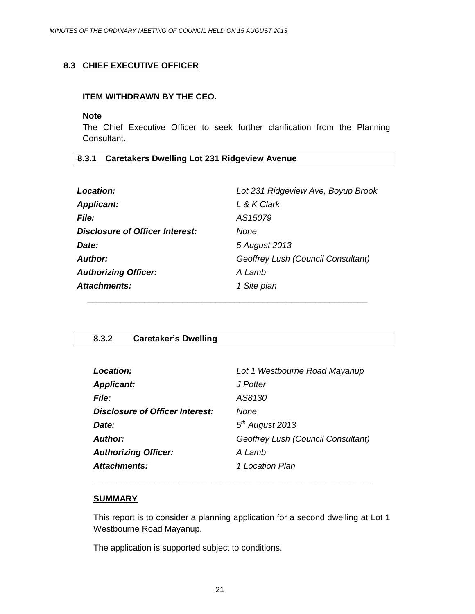# <span id="page-20-0"></span>**8.3 CHIEF EXECUTIVE OFFICER**

#### **ITEM WITHDRAWN BY THE CEO.**

#### **Note**

The Chief Executive Officer to seek further clarification from the Planning Consultant.

# <span id="page-20-1"></span>**8.3.1 Caretakers Dwelling Lot 231 Ridgeview Avenue**

| Location:                       | Lot 231 Ridgeview Ave, Boyup Brook |
|---------------------------------|------------------------------------|
| <b>Applicant:</b>               | L & K Clark                        |
| <b>File:</b>                    | AS15079                            |
| Disclosure of Officer Interest: | None                               |
| Date:                           | 5 August 2013                      |
| <b>Author:</b>                  | Geoffrey Lush (Council Consultant) |
| <b>Authorizing Officer:</b>     | A Lamb                             |
| <b>Attachments:</b>             | 1 Site plan                        |
|                                 |                                    |

# <span id="page-20-2"></span>**8.3.2 Caretaker's Dwelling**

| Lot 1 Westbourne Road Mayanup      |
|------------------------------------|
| J Potter                           |
| AS8130                             |
| None                               |
| $5th$ August 2013                  |
| Geoffrey Lush (Council Consultant) |
| A Lamb                             |
| 1 Location Plan                    |
|                                    |

*\_\_\_\_\_\_\_\_\_\_\_\_\_\_\_\_\_\_\_\_\_\_\_\_\_\_\_\_\_\_\_\_\_\_\_\_\_\_\_\_\_\_\_\_\_\_\_\_\_\_\_\_\_\_\_\_\_\_\_*

#### **SUMMARY**

This report is to consider a planning application for a second dwelling at Lot 1 Westbourne Road Mayanup.

The application is supported subject to conditions.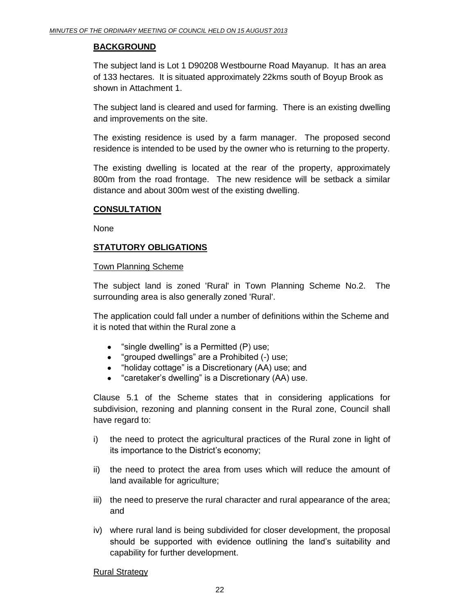## **BACKGROUND**

The subject land is Lot 1 D90208 Westbourne Road Mayanup. It has an area of 133 hectares. It is situated approximately 22kms south of Boyup Brook as shown in Attachment 1.

The subject land is cleared and used for farming. There is an existing dwelling and improvements on the site.

The existing residence is used by a farm manager. The proposed second residence is intended to be used by the owner who is returning to the property.

The existing dwelling is located at the rear of the property, approximately 800m from the road frontage. The new residence will be setback a similar distance and about 300m west of the existing dwelling.

## **CONSULTATION**

None

# **STATUTORY OBLIGATIONS**

#### Town Planning Scheme

The subject land is zoned 'Rural' in Town Planning Scheme No.2. The surrounding area is also generally zoned 'Rural'.

The application could fall under a number of definitions within the Scheme and it is noted that within the Rural zone a

- "single dwelling" is a Permitted (P) use;  $\bullet$
- "grouped dwellings" are a Prohibited (-) use;
- "holiday cottage" is a Discretionary (AA) use; and
- "caretaker's dwelling" is a Discretionary (AA) use.

Clause 5.1 of the Scheme states that in considering applications for subdivision, rezoning and planning consent in the Rural zone, Council shall have regard to:

- i) the need to protect the agricultural practices of the Rural zone in light of its importance to the District's economy;
- ii) the need to protect the area from uses which will reduce the amount of land available for agriculture;
- iii) the need to preserve the rural character and rural appearance of the area; and
- iv) where rural land is being subdivided for closer development, the proposal should be supported with evidence outlining the land's suitability and capability for further development.

#### Rural Strategy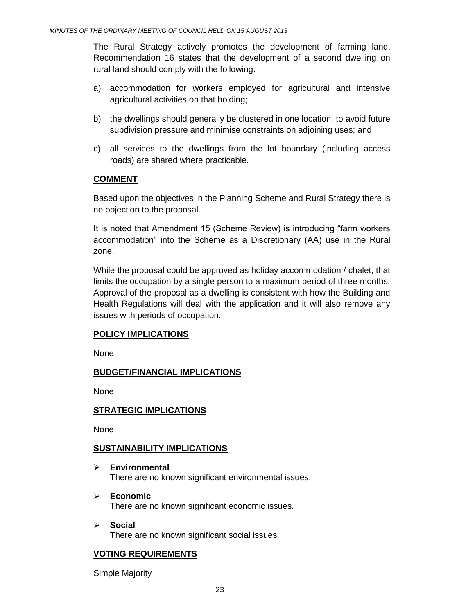The Rural Strategy actively promotes the development of farming land. Recommendation 16 states that the development of a second dwelling on rural land should comply with the following:

- a) accommodation for workers employed for agricultural and intensive agricultural activities on that holding;
- b) the dwellings should generally be clustered in one location, to avoid future subdivision pressure and minimise constraints on adjoining uses; and
- c) all services to the dwellings from the lot boundary (including access roads) are shared where practicable.

# **COMMENT**

Based upon the objectives in the Planning Scheme and Rural Strategy there is no objection to the proposal.

It is noted that Amendment 15 (Scheme Review) is introducing "farm workers accommodation" into the Scheme as a Discretionary (AA) use in the Rural zone.

While the proposal could be approved as holiday accommodation / chalet, that limits the occupation by a single person to a maximum period of three months. Approval of the proposal as a dwelling is consistent with how the Building and Health Regulations will deal with the application and it will also remove any issues with periods of occupation.

# **POLICY IMPLICATIONS**

None

# **BUDGET/FINANCIAL IMPLICATIONS**

None

# **STRATEGIC IMPLICATIONS**

None

# **SUSTAINABILITY IMPLICATIONS**

- **Environmental**  There are no known significant environmental issues.
- **Economic**  There are no known significant economic issues.
- **Social**  There are no known significant social issues.

# **VOTING REQUIREMENTS**

Simple Majority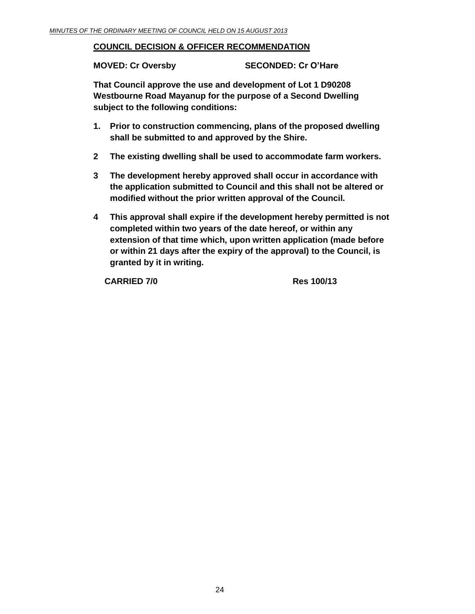## **COUNCIL DECISION & OFFICER RECOMMENDATION**

**MOVED: Cr Oversby SECONDED: Cr O'Hare**

**That Council approve the use and development of Lot 1 D90208 Westbourne Road Mayanup for the purpose of a Second Dwelling subject to the following conditions:**

- **1. Prior to construction commencing, plans of the proposed dwelling shall be submitted to and approved by the Shire.**
- **2 The existing dwelling shall be used to accommodate farm workers.**
- **3 The development hereby approved shall occur in accordance with the application submitted to Council and this shall not be altered or modified without the prior written approval of the Council.**
- **4 This approval shall expire if the development hereby permitted is not completed within two years of the date hereof, or within any extension of that time which, upon written application (made before or within 21 days after the expiry of the approval) to the Council, is granted by it in writing.**

**CARRIED 7/0 Res 100/13**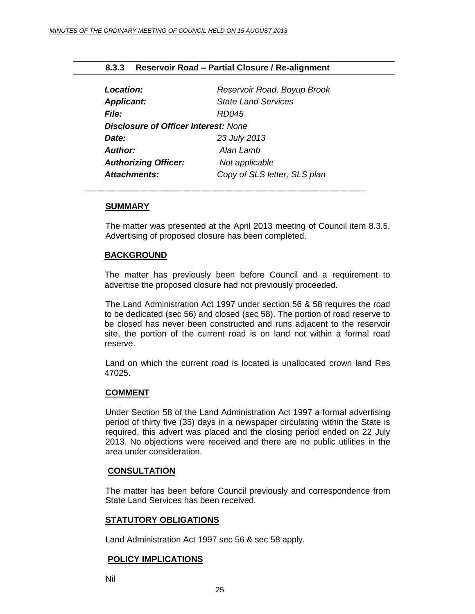<span id="page-24-0"></span>

|  | 8.3.3 Reservoir Road - Partial Closure / Re-alignment |  |  |
|--|-------------------------------------------------------|--|--|
|--|-------------------------------------------------------|--|--|

| <b>Location:</b>                            | Reservoir Road, Boyup Brook  |
|---------------------------------------------|------------------------------|
| <b>Applicant:</b>                           | <b>State Land Services</b>   |
| <b>File:</b>                                | RD045                        |
| <b>Disclosure of Officer Interest: None</b> |                              |
| Date:                                       | 23 July 2013                 |
| <b>Author:</b>                              | Alan Lamb                    |
| <b>Authorizing Officer:</b>                 | Not applicable               |
| <b>Attachments:</b>                         | Copy of SLS letter, SLS plan |

\_\_\_\_\_\_\_\_\_\_\_\_\_\_\_\_\_\_\_\_\_\_\_\_\_\_\_\_\_\_\_\_\_\_\_\_\_\_\_\_\_\_\_\_\_\_\_\_\_\_\_\_\_\_\_\_\_\_\_

#### **SUMMARY**

The matter was presented at the April 2013 meeting of Council item 8.3.5. Advertising of proposed closure has been completed.

#### **BACKGROUND**

The matter has previously been before Council and a requirement to advertise the proposed closure had not previously proceeded.

The Land Administration Act 1997 under section 56 & 58 requires the road to be dedicated (sec 56) and closed (sec 58). The portion of road reserve to be closed has never been constructed and runs adjacent to the reservoir site, the portion of the current road is on land not within a formal road reserve.

Land on which the current road is located is unallocated crown land Res 47025.

#### **COMMENT**

Under Section 58 of the Land Administration Act 1997 a formal advertising period of thirty five (35) days in a newspaper circulating within the State is required, this advert was placed and the closing period ended on 22 July 2013. No objections were received and there are no public utilities in the area under consideration.

#### **CONSULTATION**

The matter has been before Council previously and correspondence from State Land Services has been received.

#### **STATUTORY OBLIGATIONS**

Land Administration Act 1997 sec 56 & sec 58 apply.

#### **POLICY IMPLICATIONS**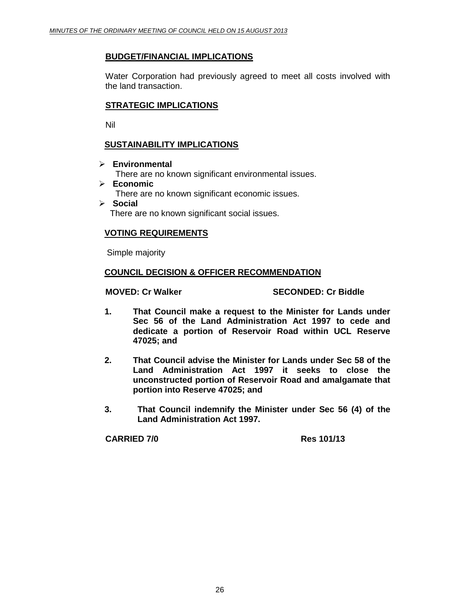#### **BUDGET/FINANCIAL IMPLICATIONS**

Water Corporation had previously agreed to meet all costs involved with the land transaction.

## **STRATEGIC IMPLICATIONS**

Nil

## **SUSTAINABILITY IMPLICATIONS**

**Environmental** 

There are no known significant environmental issues.

- **Economic**  There are no known significant economic issues.
- **Social**  There are no known significant social issues.

#### **VOTING REQUIREMENTS**

Simple majority

#### **COUNCIL DECISION & OFFICER RECOMMENDATION**

#### **MOVED: Cr Walker SECONDED: Cr Biddle**

- **1. That Council make a request to the Minister for Lands under Sec 56 of the Land Administration Act 1997 to cede and dedicate a portion of Reservoir Road within UCL Reserve 47025; and**
- **2. That Council advise the Minister for Lands under Sec 58 of the Land Administration Act 1997 it seeks to close the unconstructed portion of Reservoir Road and amalgamate that portion into Reserve 47025; and**
- **3. That Council indemnify the Minister under Sec 56 (4) of the Land Administration Act 1997.**

**CARRIED 7/0 Res 101/13**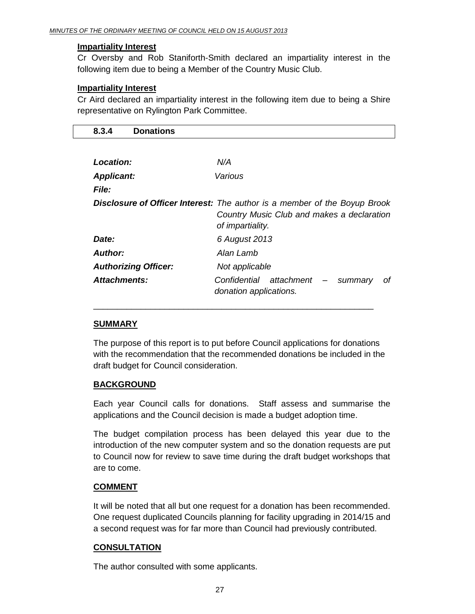## **Impartiality Interest**

Cr Oversby and Rob Staniforth-Smith declared an impartiality interest in the following item due to being a Member of the Country Music Club.

# **Impartiality Interest**

Cr Aird declared an impartiality interest in the following item due to being a Shire representative on Rylington Park Committee.

<span id="page-26-0"></span>

| 8.3.4             | <b>Donations</b>            |                                                                                                                                                            |  |
|-------------------|-----------------------------|------------------------------------------------------------------------------------------------------------------------------------------------------------|--|
|                   |                             |                                                                                                                                                            |  |
| Location:         |                             | N/A                                                                                                                                                        |  |
| <b>Applicant:</b> |                             | Various                                                                                                                                                    |  |
| <i>File:</i>      |                             |                                                                                                                                                            |  |
|                   |                             | <b>Disclosure of Officer Interest:</b> The author is a member of the Boyup Brook<br>Country Music Club and makes a declaration<br>of <i>impartiality</i> . |  |
| Date:             |                             | 6 August 2013                                                                                                                                              |  |
| <b>Author:</b>    |                             | Alan Lamb                                                                                                                                                  |  |
|                   | <b>Authorizing Officer:</b> | Not applicable                                                                                                                                             |  |
| Attachments:      |                             | Confidential<br>attachment –<br>οf<br>summary<br>donation applications.                                                                                    |  |

# **SUMMARY**

The purpose of this report is to put before Council applications for donations with the recommendation that the recommended donations be included in the draft budget for Council consideration.

\_\_\_\_\_\_\_\_\_\_\_\_\_\_\_\_\_\_\_\_\_\_\_\_\_\_\_\_\_\_\_\_\_\_\_\_\_\_\_\_\_\_\_\_\_\_\_\_\_\_\_\_\_\_\_\_\_\_\_

# **BACKGROUND**

Each year Council calls for donations. Staff assess and summarise the applications and the Council decision is made a budget adoption time.

The budget compilation process has been delayed this year due to the introduction of the new computer system and so the donation requests are put to Council now for review to save time during the draft budget workshops that are to come.

# **COMMENT**

It will be noted that all but one request for a donation has been recommended. One request duplicated Councils planning for facility upgrading in 2014/15 and a second request was for far more than Council had previously contributed.

# **CONSULTATION**

The author consulted with some applicants.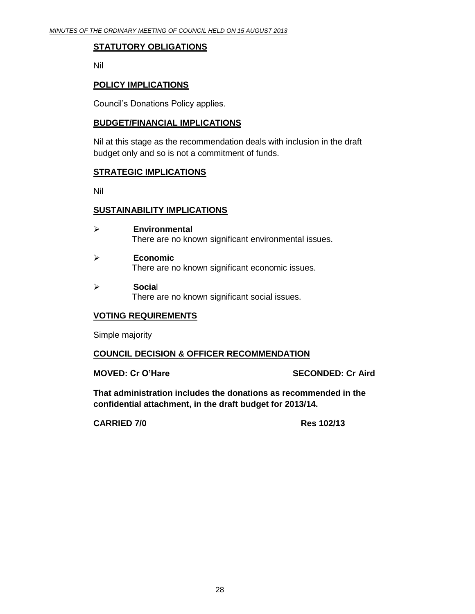## **STATUTORY OBLIGATIONS**

Nil

## **POLICY IMPLICATIONS**

Council's Donations Policy applies.

#### **BUDGET/FINANCIAL IMPLICATIONS**

Nil at this stage as the recommendation deals with inclusion in the draft budget only and so is not a commitment of funds.

## **STRATEGIC IMPLICATIONS**

Nil

#### **SUSTAINABILITY IMPLICATIONS**

- **Environmental** There are no known significant environmental issues.
- **Economic** There are no known significant economic issues.
- **Socia**l There are no known significant social issues.

# **VOTING REQUIREMENTS**

Simple majority

#### **COUNCIL DECISION & OFFICER RECOMMENDATION**

**MOVED: Cr O'Hare SECONDED: Cr Aird**

**That administration includes the donations as recommended in the confidential attachment, in the draft budget for 2013/14.** 

**CARRIED 7/0 Res 102/13**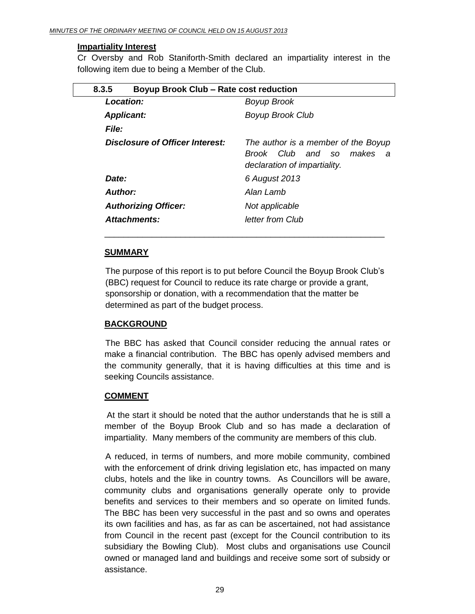#### **Impartiality Interest**

Cr Oversby and Rob Staniforth-Smith declared an impartiality interest in the following item due to being a Member of the Club.

<span id="page-28-0"></span>

| 8.3.5                           | Boyup Brook Club - Rate cost reduction                                                                 |  |
|---------------------------------|--------------------------------------------------------------------------------------------------------|--|
| Location:                       | <b>Boyup Brook</b>                                                                                     |  |
| <b>Applicant:</b>               | <b>Boyup Brook Club</b>                                                                                |  |
| <b>File:</b>                    |                                                                                                        |  |
| Disclosure of Officer Interest: | The author is a member of the Boyup<br>Brook Club and so<br>makes<br>a<br>declaration of impartiality. |  |
| Date:                           | 6 August 2013                                                                                          |  |
| <b>Author:</b>                  | Alan Lamb                                                                                              |  |
| <b>Authorizing Officer:</b>     | Not applicable                                                                                         |  |
| Attachments:                    | letter from Club                                                                                       |  |

#### **SUMMARY**

The purpose of this report is to put before Council the Boyup Brook Club's (BBC) request for Council to reduce its rate charge or provide a grant, sponsorship or donation, with a recommendation that the matter be determined as part of the budget process.

\_\_\_\_\_\_\_\_\_\_\_\_\_\_\_\_\_\_\_\_\_\_\_\_\_\_\_\_\_\_\_\_\_\_\_\_\_\_\_\_\_\_\_\_\_\_\_\_\_\_\_\_\_\_\_\_\_\_\_

## **BACKGROUND**

The BBC has asked that Council consider reducing the annual rates or make a financial contribution. The BBC has openly advised members and the community generally, that it is having difficulties at this time and is seeking Councils assistance.

#### **COMMENT**

At the start it should be noted that the author understands that he is still a member of the Boyup Brook Club and so has made a declaration of impartiality. Many members of the community are members of this club.

A reduced, in terms of numbers, and more mobile community, combined with the enforcement of drink driving legislation etc, has impacted on many clubs, hotels and the like in country towns. As Councillors will be aware, community clubs and organisations generally operate only to provide benefits and services to their members and so operate on limited funds. The BBC has been very successful in the past and so owns and operates its own facilities and has, as far as can be ascertained, not had assistance from Council in the recent past (except for the Council contribution to its subsidiary the Bowling Club). Most clubs and organisations use Council owned or managed land and buildings and receive some sort of subsidy or assistance.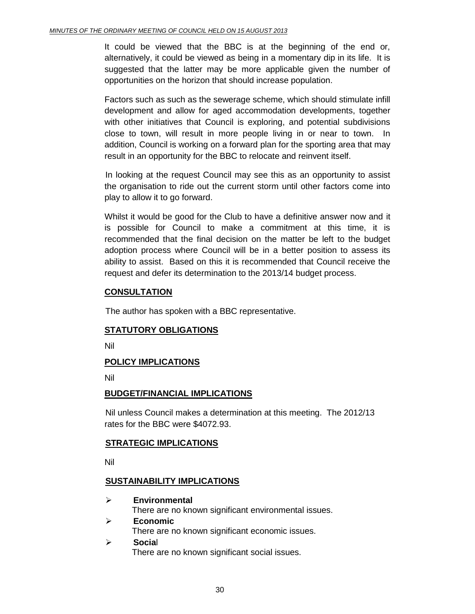It could be viewed that the BBC is at the beginning of the end or, alternatively, it could be viewed as being in a momentary dip in its life. It is suggested that the latter may be more applicable given the number of opportunities on the horizon that should increase population.

Factors such as such as the sewerage scheme, which should stimulate infill development and allow for aged accommodation developments, together with other initiatives that Council is exploring, and potential subdivisions close to town, will result in more people living in or near to town. In addition, Council is working on a forward plan for the sporting area that may result in an opportunity for the BBC to relocate and reinvent itself.

In looking at the request Council may see this as an opportunity to assist the organisation to ride out the current storm until other factors come into play to allow it to go forward.

Whilst it would be good for the Club to have a definitive answer now and it is possible for Council to make a commitment at this time, it is recommended that the final decision on the matter be left to the budget adoption process where Council will be in a better position to assess its ability to assist. Based on this it is recommended that Council receive the request and defer its determination to the 2013/14 budget process.

## **CONSULTATION**

The author has spoken with a BBC representative.

# **STATUTORY OBLIGATIONS**

Nil

# **POLICY IMPLICATIONS**

Nil

#### **BUDGET/FINANCIAL IMPLICATIONS**

Nil unless Council makes a determination at this meeting. The 2012/13 rates for the BBC were \$4072.93.

#### **STRATEGIC IMPLICATIONS**

Nil

#### **SUSTAINABILITY IMPLICATIONS**

 **Environmental** There are no known significant environmental issues. **Economic**

There are no known significant economic issues.

 **Socia**l There are no known significant social issues.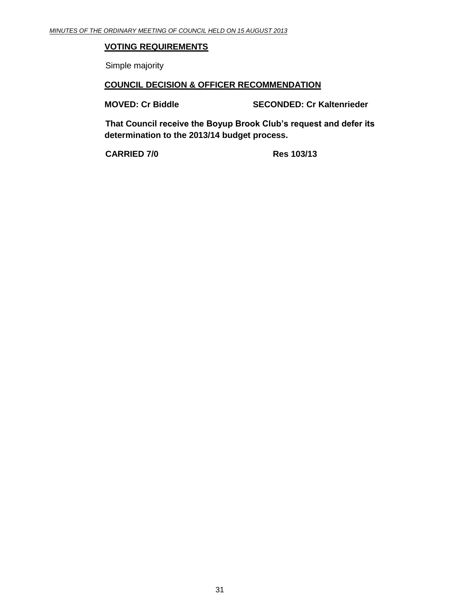# **VOTING REQUIREMENTS**

Simple majority

#### **COUNCIL DECISION & OFFICER RECOMMENDATION**

**MOVED: Cr Biddle SECONDED: Cr Kaltenrieder**

**That Council receive the Boyup Brook Club's request and defer its determination to the 2013/14 budget process.**

**CARRIED 7/0 Res 103/13**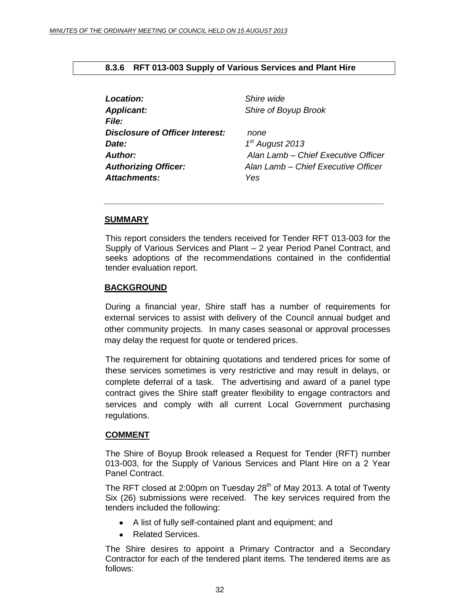## <span id="page-31-0"></span>**8.3.6 RFT 013-003 Supply of Various Services and Plant Hire**

| Location:                              | Shire wide                          |
|----------------------------------------|-------------------------------------|
| <b>Applicant:</b>                      | Shire of Boyup Brook                |
| <b>File:</b>                           |                                     |
| <b>Disclosure of Officer Interest:</b> | none                                |
| Date:                                  | $1st$ August 2013                   |
| <b>Author:</b>                         | Alan Lamb - Chief Executive Officer |
| <b>Authorizing Officer:</b>            | Alan Lamb - Chief Executive Officer |
| <b>Attachments:</b>                    | Yes                                 |

#### **SUMMARY**

This report considers the tenders received for Tender RFT 013-003 for the Supply of Various Services and Plant – 2 year Period Panel Contract, and seeks adoptions of the recommendations contained in the confidential tender evaluation report.

*\_\_\_\_\_\_\_\_\_\_\_\_\_\_\_\_\_\_\_\_\_\_\_\_\_\_\_\_\_\_\_\_\_\_\_\_\_\_\_\_\_\_\_\_\_\_\_\_\_\_\_\_\_\_\_\_\_\_\_*

#### **BACKGROUND**

During a financial year, Shire staff has a number of requirements for external services to assist with delivery of the Council annual budget and other community projects. In many cases seasonal or approval processes may delay the request for quote or tendered prices.

The requirement for obtaining quotations and tendered prices for some of these services sometimes is very restrictive and may result in delays, or complete deferral of a task. The advertising and award of a panel type contract gives the Shire staff greater flexibility to engage contractors and services and comply with all current Local Government purchasing regulations.

#### **COMMENT**

The Shire of Boyup Brook released a Request for Tender (RFT) number 013-003, for the Supply of Various Services and Plant Hire on a 2 Year Panel Contract.

The RFT closed at 2:00pm on Tuesday  $28<sup>th</sup>$  of May 2013. A total of Twenty Six (26) submissions were received. The key services required from the tenders included the following:

- A list of fully self-contained plant and equipment; and
- Related Services.

The Shire desires to appoint a Primary Contractor and a Secondary Contractor for each of the tendered plant items. The tendered items are as follows: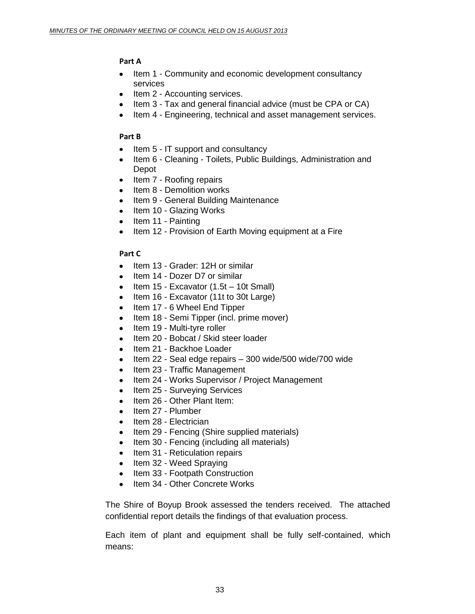# **Part A**

- Item 1 Community and economic development consultancy services
- Item 2 Accounting services.
- Item 3 Tax and general financial advice (must be CPA or CA)
- Item 4 Engineering, technical and asset management services.

## **Part B**

- Item 5 IT support and consultancy
- Item 6 Cleaning Toilets, Public Buildings, Administration and Depot
- Item 7 Roofing repairs
- Item 8 Demolition works
- Item 9 General Building Maintenance
- Item 10 Glazing Works
- $\bullet$  Item 11 Painting
- Item 12 Provision of Earth Moving equipment at a Fire

# **Part C**

- Item 13 Grader: 12H or similar
- Item 14 Dozer D7 or similar
- $\bullet$  Item 15 Excavator (1.5t 10t Small)
- Item 16 Excavator (11t to 30t Large)
- Item 17 6 Wheel End Tipper
- Item 18 Semi Tipper (incl. prime mover)
- Item 19 Multi-tyre roller  $\bullet$
- Item 20 Bobcat / Skid steer loader
- Item 21 Backhoe Loader
- $\bullet$  Item 22 Seal edge repairs  $-300$  wide/500 wide/700 wide
- Item 23 Traffic Management
- Item 24 Works Supervisor / Project Management
- Item 25 Surveying Services
- Item 26 Other Plant Item:
- $\bullet$  Item 27 Plumber
- Item 28 Electrician
- Item 29 Fencing (Shire supplied materials)
- Item 30 Fencing (including all materials)
- Item 31 Reticulation repairs
- Item 32 Weed Spraying
- Item 33 Footpath Construction
- Item 34 Other Concrete Works

The Shire of Boyup Brook assessed the tenders received. The attached confidential report details the findings of that evaluation process.

Each item of plant and equipment shall be fully self-contained, which means: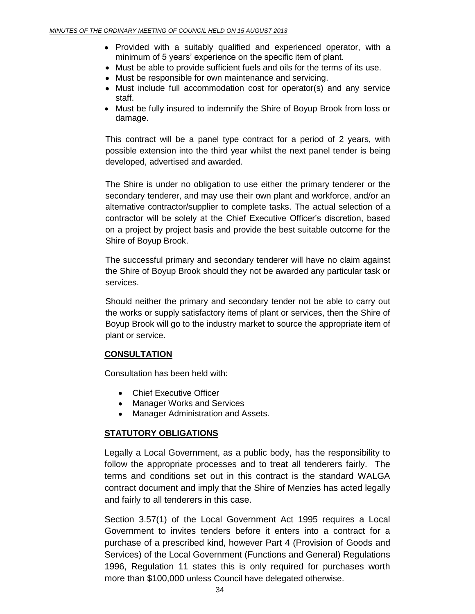- Provided with a suitably qualified and experienced operator, with a minimum of 5 years' experience on the specific item of plant.
- Must be able to provide sufficient fuels and oils for the terms of its use.
- Must be responsible for own maintenance and servicing.
- Must include full accommodation cost for operator(s) and any service staff.
- Must be fully insured to indemnify the Shire of Boyup Brook from loss or damage.

This contract will be a panel type contract for a period of 2 years, with possible extension into the third year whilst the next panel tender is being developed, advertised and awarded.

The Shire is under no obligation to use either the primary tenderer or the secondary tenderer, and may use their own plant and workforce, and/or an alternative contractor/supplier to complete tasks. The actual selection of a contractor will be solely at the Chief Executive Officer's discretion, based on a project by project basis and provide the best suitable outcome for the Shire of Boyup Brook.

The successful primary and secondary tenderer will have no claim against the Shire of Boyup Brook should they not be awarded any particular task or services.

Should neither the primary and secondary tender not be able to carry out the works or supply satisfactory items of plant or services, then the Shire of Boyup Brook will go to the industry market to source the appropriate item of plant or service.

#### **CONSULTATION**

Consultation has been held with:

- Chief Executive Officer
- Manager Works and Services
- Manager Administration and Assets.

#### **STATUTORY OBLIGATIONS**

Legally a Local Government, as a public body, has the responsibility to follow the appropriate processes and to treat all tenderers fairly. The terms and conditions set out in this contract is the standard WALGA contract document and imply that the Shire of Menzies has acted legally and fairly to all tenderers in this case.

Section 3.57(1) of the Local Government Act 1995 requires a Local Government to invites tenders before it enters into a contract for a purchase of a prescribed kind, however Part 4 (Provision of Goods and Services) of the Local Government (Functions and General) Regulations 1996, Regulation 11 states this is only required for purchases worth more than \$100,000 unless Council have delegated otherwise.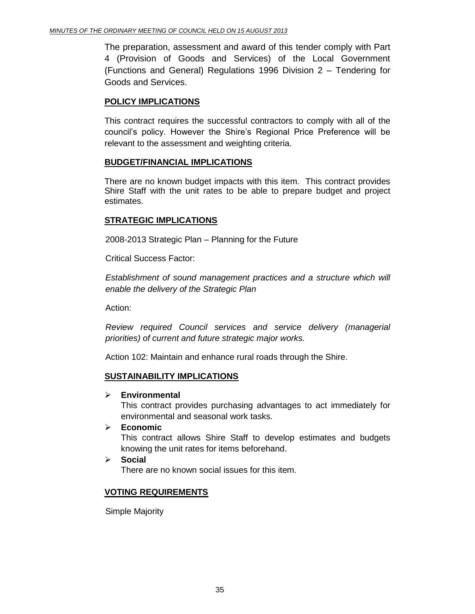The preparation, assessment and award of this tender comply with Part 4 (Provision of Goods and Services) of the Local Government (Functions and General) Regulations 1996 Division 2 – Tendering for Goods and Services.

## **POLICY IMPLICATIONS**

This contract requires the successful contractors to comply with all of the council's policy. However the Shire's Regional Price Preference will be relevant to the assessment and weighting criteria.

#### **BUDGET/FINANCIAL IMPLICATIONS**

There are no known budget impacts with this item. This contract provides Shire Staff with the unit rates to be able to prepare budget and project estimates.

## **STRATEGIC IMPLICATIONS**

2008-2013 Strategic Plan – Planning for the Future

Critical Success Factor:

*Establishment of sound management practices and a structure which will enable the delivery of the Strategic Plan*

Action:

*Review required Council services and service delivery (managerial priorities) of current and future strategic major works.*

Action 102: Maintain and enhance rural roads through the Shire.

#### **SUSTAINABILITY IMPLICATIONS**

**Environmental**

This contract provides purchasing advantages to act immediately for environmental and seasonal work tasks.

**Economic**

This contract allows Shire Staff to develop estimates and budgets knowing the unit rates for items beforehand.

 **Social** There are no known social issues for this item.

# **VOTING REQUIREMENTS**

Simple Majority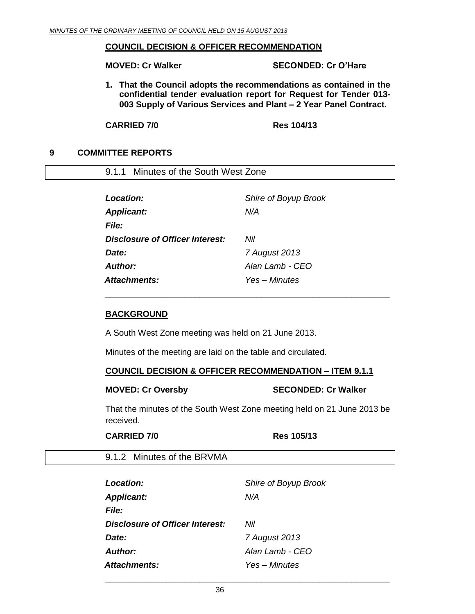#### **COUNCIL DECISION & OFFICER RECOMMENDATION**

**MOVED: Cr Walker SECONDED: Cr O'Hare**

**1. That the Council adopts the recommendations as contained in the confidential tender evaluation report for Request for Tender 013- 003 Supply of Various Services and Plant – 2 Year Panel Contract.**

**CARRIED 7/0 Res 104/13**

## <span id="page-35-0"></span>**9 COMMITTEE REPORTS**

<span id="page-35-1"></span>9.1.1 Minutes of the South West Zone

| Location:                       | Shire of Boyup Brook |
|---------------------------------|----------------------|
| <b>Applicant:</b>               | N/A                  |
| <i>File:</i>                    |                      |
| Disclosure of Officer Interest: | Nil                  |
| Date:                           | 7 August 2013        |
| Author:                         | Alan Lamb - CEO      |
| Attachments:                    | Yes - Minutes        |

#### **BACKGROUND**

A South West Zone meeting was held on 21 June 2013.

Minutes of the meeting are laid on the table and circulated.

#### **COUNCIL DECISION & OFFICER RECOMMENDATION – ITEM 9.1.1**

*\_\_\_\_\_\_\_\_\_\_\_\_\_\_\_\_\_\_\_\_\_\_\_\_\_\_\_\_\_\_\_\_\_\_\_\_\_\_\_\_\_\_\_\_\_\_\_\_\_\_\_\_\_\_\_\_\_\_\_\_*

#### **MOVED: Cr Oversby SECONDED: Cr Walker**

That the minutes of the South West Zone meeting held on 21 June 2013 be received.

#### **CARRIED 7/0 Res 105/13**

<span id="page-35-2"></span>9.1.2 Minutes of the BRVMA

| Location:                       | Shire of Boyup Brook |
|---------------------------------|----------------------|
| <b>Applicant:</b>               | N/A                  |
| <i>File:</i>                    |                      |
| Disclosure of Officer Interest: | Nil                  |
| Date:                           | 7 August 2013        |
| Author:                         | Alan Lamb - CEO      |
| Attachments:                    | Yes – Minutes        |

*\_\_\_\_\_\_\_\_\_\_\_\_\_\_\_\_\_\_\_\_\_\_\_\_\_\_\_\_\_\_\_\_\_\_\_\_\_\_\_\_\_\_\_\_\_\_\_\_\_\_\_\_\_\_\_\_\_\_\_\_*